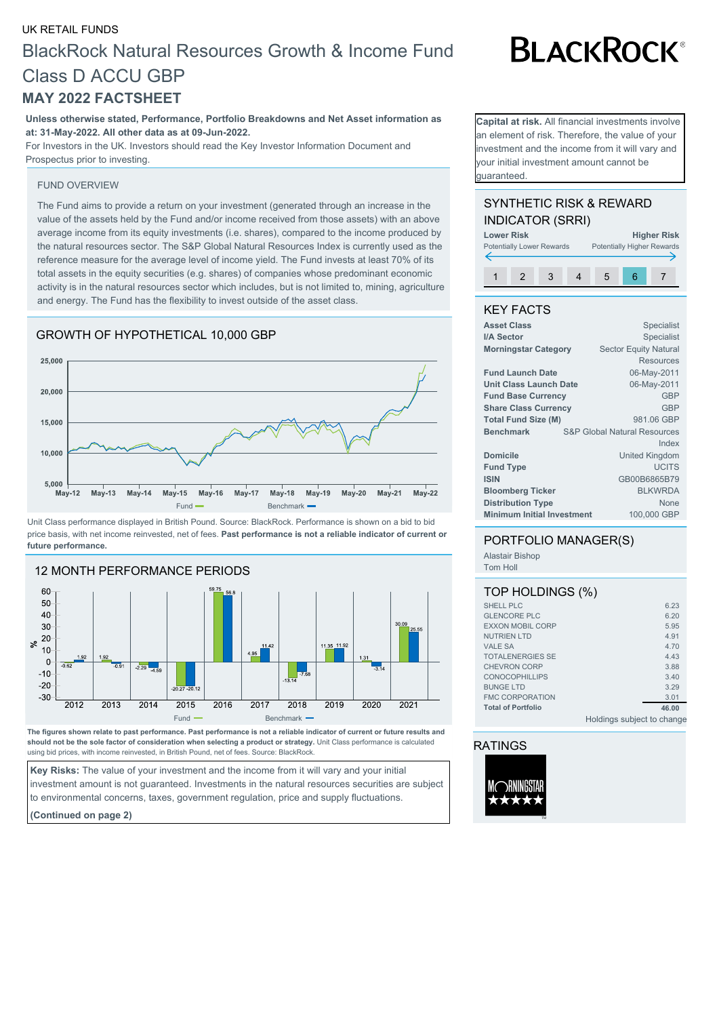## UK RETAIL FUNDS BlackRock Natural Resources Growth & Income Fund Class D ACCU GBP **MAY 2022 FACTSHEET**

### **Unless otherwise stated, Performance, Portfolio Breakdowns and Net Asset information as at: 31-May-2022. All other data as at 09-Jun-2022.**

For Investors in the UK. Investors should read the Key Investor Information Document and Prospectus prior to investing.

#### FUND OVERVIEW

The Fund aims to provide a return on your investment (generated through an increase in the value of the assets held by the Fund and/or income received from those assets) with an above average income from its equity investments (i.e. shares), compared to the income produced by the natural resources sector. The S&P Global Natural Resources Index is currently used as the reference measure for the average level of income yield. The Fund invests at least 70% of its total assets in the equity securities (e.g. shares) of companies whose predominant economic activity is in the natural resources sector which includes, but is not limited to, mining, agriculture and energy. The Fund has the flexibility to invest outside of the asset class.

#### GROWTH OF HYPOTHETICAL 10,000 GBP



Unit Class performance displayed in British Pound. Source: BlackRock. Performance is shown on a bid to bid price basis, with net income reinvested, net of fees. **Past performance is not a reliable indicator of current or future performance.**



**The figures shown relate to past performance. Past performance is not a reliable indicator of current or future results and should not be the sole factor of consideration when selecting a product or strategy.** Unit Class performance is calculated using bid prices, with income reinvested, in British Pound, net of fees. Source: BlackRock.

**Key Risks:** The value of your investment and the income from it will vary and your initial investment amount is not guaranteed. Investments in the natural resources securities are subject to environmental concerns, taxes, government regulation, price and supply fluctuations.

**(Continued on page 2)**

**Capital at risk.** All financial investments involve an element of risk. Therefore, the value of your nvestment and the income from it will vary and your initial investment amount cannot be guaranteed.

#### SYNTHETIC RISK & REWARD INDICATOR (SRRI)



#### KEY FACTS

| <b>Asset Class</b>                | <b>Specialist</b>                       |
|-----------------------------------|-----------------------------------------|
| I/A Sector                        | Specialist                              |
| <b>Morningstar Category</b>       | <b>Sector Equity Natural</b>            |
|                                   | Resources                               |
| <b>Fund Launch Date</b>           | 06-May-2011                             |
| <b>Unit Class Launch Date</b>     | 06-May-2011                             |
| <b>Fund Base Currency</b>         | <b>GBP</b>                              |
| <b>Share Class Currency</b>       | <b>GBP</b>                              |
| <b>Total Fund Size (M)</b>        | 981.06 GBP                              |
| <b>Benchmark</b>                  | <b>S&amp;P Global Natural Resources</b> |
|                                   | Index                                   |
| <b>Domicile</b>                   | <b>United Kingdom</b>                   |
| <b>Fund Type</b>                  | <b>UCITS</b>                            |
| <b>ISIN</b>                       | GB00B6865B79                            |
| <b>Bloomberg Ticker</b>           | <b>BLKWRDA</b>                          |
| <b>Distribution Type</b>          | None                                    |
| <b>Minimum Initial Investment</b> | 100,000 GBP                             |
|                                   |                                         |

#### PORTFOLIO MANAGER(S)

Alastair Bishop Tom Holl

#### TOP HOLDINGS (%)

| <b>SHELL PLC</b>          | 6.23                       |
|---------------------------|----------------------------|
| <b>GLENCORE PLC</b>       | 6.20                       |
| <b>EXXON MOBIL CORP</b>   | 5.95                       |
| <b>NUTRIEN LTD</b>        | 4.91                       |
| <b>VALE SA</b>            | 4.70                       |
| <b>TOTALENERGIES SE</b>   | 4.43                       |
| <b>CHEVRON CORP</b>       | 3.88                       |
| <b>CONOCOPHILLIPS</b>     | 3.40                       |
| <b>BUNGE LTD</b>          | 3.29                       |
| <b>FMC CORPORATION</b>    | 3.01                       |
| <b>Total of Portfolio</b> | 46.00                      |
|                           | Holdings subject to change |

RATINGS



# **BLACKROCK®**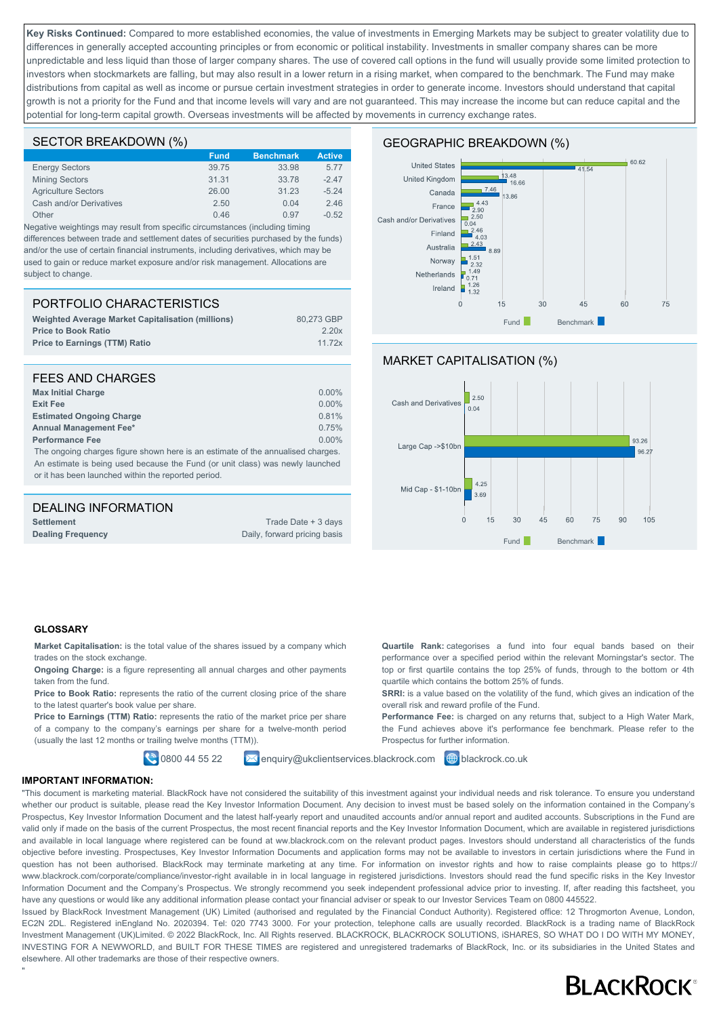**Key Risks Continued:** Compared to more established economies, the value of investments in Emerging Markets may be subject to greater volatility due to differences in generally accepted accounting principles or from economic or political instability. Investments in smaller company shares can be more unpredictable and less liquid than those of larger company shares. The use of covered call options in the fund will usually provide some limited protection to investors when stockmarkets are falling, but may also result in a lower return in a rising market, when compared to the benchmark. The Fund may make distributions from capital as well as income or pursue certain investment strategies in order to generate income. Investors should understand that capital growth is not a priority for the Fund and that income levels will vary and are not guaranteed. This may increase the income but can reduce capital and the potential for long-term capital growth. Overseas investments will be affected by movements in currency exchange rates.

#### SECTOR BREAKDOWN (%)

|                            | <b>Fund</b> | <b>Benchmark</b> | <b>Active</b> |
|----------------------------|-------------|------------------|---------------|
| <b>Energy Sectors</b>      | 39.75       | 33.98            | 5.77          |
| <b>Mining Sectors</b>      | 31.31       | 33.78            | $-2.47$       |
| <b>Agriculture Sectors</b> | 26.00       | 31.23            | $-5.24$       |
| Cash and/or Derivatives    | 2.50        | 0.04             | 2.46          |
| Other                      | 0.46        | 0.97             | $-0.52$       |

Negative weightings may result from specific circumstances (including timing differences between trade and settlement dates of securities purchased by the funds) and/or the use of certain financial instruments, including derivatives, which may be used to gain or reduce market exposure and/or risk management. Allocations are subject to change.

#### PORTFOLIO CHARACTERISTICS

| Weighted Average Market Capitalisation (millions) | 80.273 GBP |
|---------------------------------------------------|------------|
| <b>Price to Book Ratio</b>                        | 2.20x      |
| <b>Price to Earnings (TTM) Ratio</b>              | 11.72x     |

#### FEES AND CHARGES

| <b>Max Initial Charge</b>                                                       | $0.00\%$ |
|---------------------------------------------------------------------------------|----------|
| <b>Exit Fee</b>                                                                 | $0.00\%$ |
| <b>Estimated Ongoing Charge</b>                                                 | 0.81%    |
| <b>Annual Management Fee*</b>                                                   | 0.75%    |
| <b>Performance Fee</b>                                                          | $0.00\%$ |
| The ongoing charges figure shown here is an estimate of the annualised charges. |          |
|                                                                                 |          |

An estimate is being used because the Fund (or unit class) was newly launched or it has been launched within the reported period.

| Trade Date + 3 days          |
|------------------------------|
| Daily, forward pricing basis |
|                              |

#### GEOGRAPHIC BREAKDOWN (%)



#### MARKET CAPITALISATION (%)

quartile which contains the bottom 25% of funds.

overall risk and reward profile of the Fund.

Prospectus for further information.



**Quartile Rank:** categorises a fund into four equal bands based on their performance over a specified period within the relevant Morningstar's sector. The top or first quartile contains the top 25% of funds, through to the bottom or 4th

**SRRI:** is a value based on the volatility of the fund, which gives an indication of the

**Performance Fee:** is charged on any returns that, subject to a High Water Mark, the Fund achieves above it's performance fee benchmark. Please refer to the

#### **GLOSSARY**

**Market Capitalisation:** is the total value of the shares issued by a company which trades on the stock exchange.

**Ongoing Charge:** is a figure representing all annual charges and other payments taken from the fund.

**Price to Book Ratio:** represents the ratio of the current closing price of the share to the latest quarter's book value per share.

Price to Earnings (TTM) Ratio: represents the ratio of the market price per share of a company to the company's earnings per share for a twelve-month period (usually the last 12 months or trailing twelve months (TTM)).

0800 44 55 22 **X** enquiry@ukclientservices.blackrock.com **+** blackrock.co.uk

#### **IMPORTANT INFORMATION:**

"

"This document is marketing material. BlackRock have not considered the suitability of this investment against your individual needs and risk tolerance. To ensure you understand whether our product is suitable, please read the Key Investor Information Document. Any decision to invest must be based solely on the information contained in the Company's Prospectus, Key Investor Information Document and the latest half-yearly report and unaudited accounts and/or annual report and audited accounts. Subscriptions in the Fund are valid only if made on the basis of the current Prospectus, the most recent financial reports and the Key Investor Information Document, which are available in registered jurisdictions and available in local language where registered can be found at ww.blackrock.com on the relevant product pages. Investors should understand all characteristics of the funds objective before investing. Prospectuses, Key Investor Information Documents and application forms may not be available to investors in certain jurisdictions where the Fund in question has not been authorised. BlackRock may terminate marketing at any time. For information on investor rights and how to raise complaints please go to https:// www.blackrock.com/corporate/compliance/investor-right available in in local language in registered jurisdictions. Investors should read the fund specific risks in the Key Investor Information Document and the Company's Prospectus. We strongly recommend you seek independent professional advice prior to investing. If, after reading this factsheet, you have any questions or would like any additional information please contact your financial adviser or speak to our Investor Services Team on 0800 445522.

Issued by BlackRock Investment Management (UK) Limited (authorised and regulated by the Financial Conduct Authority). Registered office: 12 Throgmorton Avenue, London, EC2N 2DL. Registered inEngland No. 2020394. Tel: 020 7743 3000. For your protection, telephone calls are usually recorded. BlackRock is a trading name of BlackRock Investment Management (UK)Limited. © 2022 BlackRock, Inc. All Rights reserved. BLACKROCK, BLACKROCK SOLUTIONS, iSHARES, SO WHAT DO I DO WITH MY MONEY, INVESTING FOR A NEWWORLD, and BUILT FOR THESE TIMES are registered and unregistered trademarks of BlackRock, Inc. or its subsidiaries in the United States and elsewhere. All other trademarks are those of their respective owners.